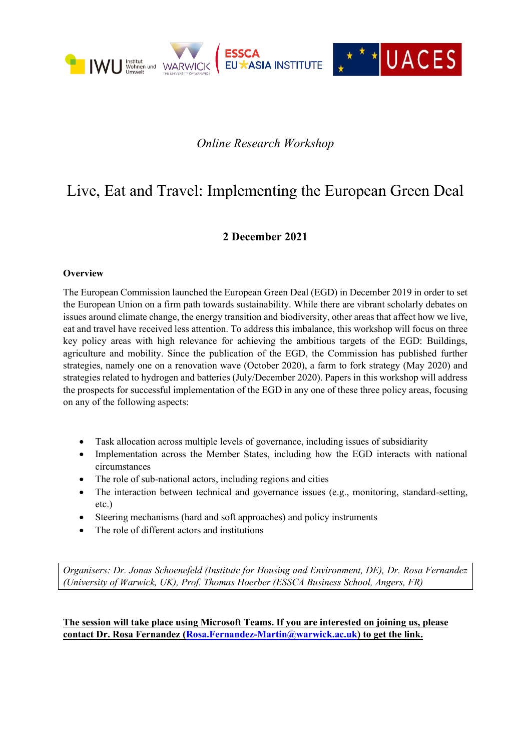

## *Online Research Workshop*

# Live, Eat and Travel: Implementing the European Green Deal

#### **2 December 2021**

#### **Overview**

The European Commission launched the European Green Deal (EGD) in December 2019 in order to set the European Union on a firm path towards sustainability. While there are vibrant scholarly debates on issues around climate change, the energy transition and biodiversity, other areas that affect how we live, eat and travel have received less attention. To address this imbalance, this workshop will focus on three key policy areas with high relevance for achieving the ambitious targets of the EGD: Buildings, agriculture and mobility. Since the publication of the EGD, the Commission has published further strategies, namely one on a renovation wave (October 2020), a farm to fork strategy (May 2020) and strategies related to hydrogen and batteries (July/December 2020). Papers in this workshop will address the prospects for successful implementation of the EGD in any one of these three policy areas, focusing on any of the following aspects:

- Task allocation across multiple levels of governance, including issues of subsidiarity
- Implementation across the Member States, including how the EGD interacts with national circumstances
- The role of sub-national actors, including regions and cities
- The interaction between technical and governance issues (e.g., monitoring, standard-setting, etc.)
- Steering mechanisms (hard and soft approaches) and policy instruments
- The role of different actors and institutions

*Organisers: Dr. Jonas Schoenefeld (Institute for Housing and Environment, DE), Dr. Rosa Fernandez (University of Warwick, UK), Prof. Thomas Hoerber (ESSCA Business School, Angers, FR)*

**The session will take place using Microsoft Teams. If you are interested on joining us, please contact Dr. Rosa Fernandez [\(Rosa.Fernandez-Martin@warwick.ac.uk\)](mailto:Rosa.Fernandez-Martin@warwick.ac.uk) to get the link.**